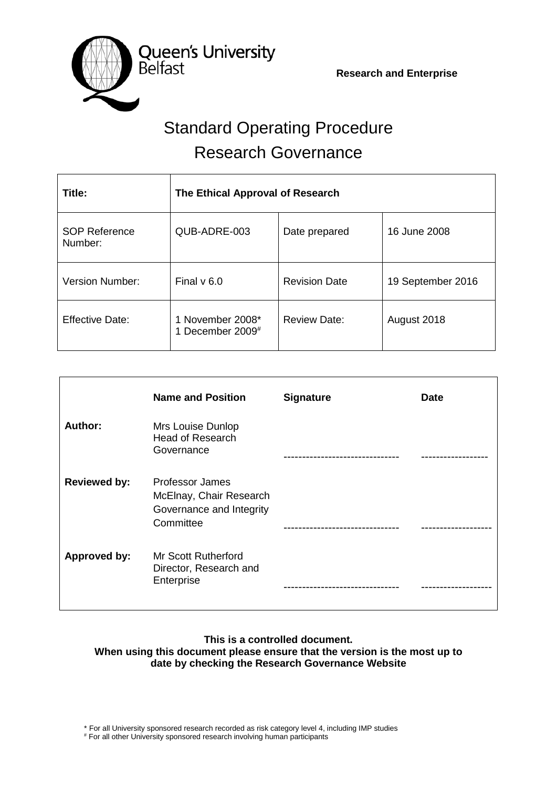

# Standard Operating Procedure Research Governance

| Title:                          | The Ethical Approval of Research        |                      |                   |
|---------------------------------|-----------------------------------------|----------------------|-------------------|
| <b>SOP Reference</b><br>Number: | QUB-ADRE-003                            | Date prepared        | 16 June 2008      |
| <b>Version Number:</b>          | Final $v$ 6.0                           | <b>Revision Date</b> | 19 September 2016 |
| <b>Effective Date:</b>          | 1 November 2008*<br>1 December 2009 $#$ | <b>Review Date:</b>  | August 2018       |

|                     | <b>Name and Position</b>                                                            | <b>Signature</b> | <b>Date</b> |
|---------------------|-------------------------------------------------------------------------------------|------------------|-------------|
| Author:             | Mrs Louise Dunlop<br><b>Head of Research</b><br>Governance                          |                  |             |
| <b>Reviewed by:</b> | Professor James<br>McElnay, Chair Research<br>Governance and Integrity<br>Committee |                  |             |
| Approved by:        | <b>Mr Scott Rutherford</b><br>Director, Research and<br>Enterprise                  |                  |             |

# **This is a controlled document. When using this document please ensure that the version is the most up to date by checking the Research Governance Website**

\* For all University sponsored research recorded as risk category level 4, including IMP studies

# For all other University sponsored research involving human participants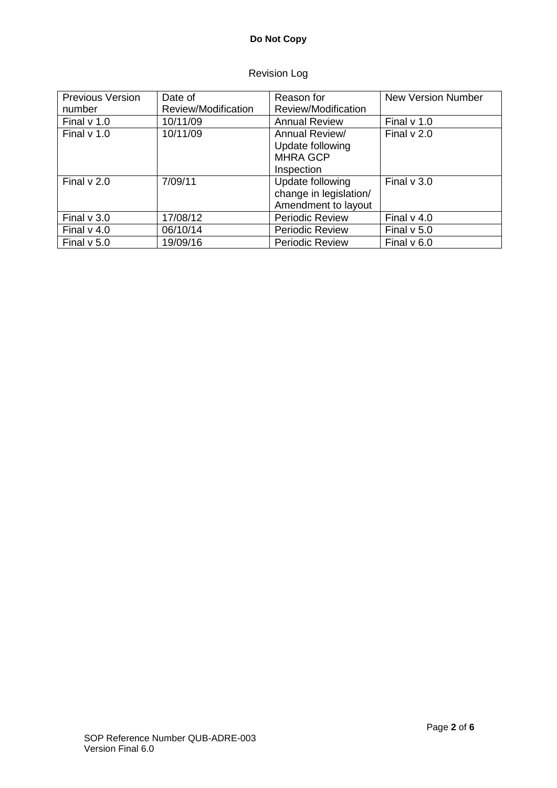# **Do Not Copy**

# Revision Log

| <b>Previous Version</b> | Date of             | Reason for             | <b>New Version Number</b> |
|-------------------------|---------------------|------------------------|---------------------------|
| number                  | Review/Modification | Review/Modification    |                           |
| Final $v$ 1.0           | 10/11/09            | <b>Annual Review</b>   | Final $v$ 1.0             |
| Final $v$ 1.0           | 10/11/09            | Annual Review/         | Final $v$ 2.0             |
|                         |                     | Update following       |                           |
|                         |                     | <b>MHRA GCP</b>        |                           |
|                         |                     | Inspection             |                           |
| Final $v$ 2.0           | 7/09/11             | Update following       | Final $v$ 3.0             |
|                         |                     | change in legislation/ |                           |
|                         |                     | Amendment to layout    |                           |
| Final $v$ 3.0           | 17/08/12            | <b>Periodic Review</b> | Final $v$ 4.0             |
| Final $v$ 4.0           | 06/10/14            | <b>Periodic Review</b> | Final $v$ 5.0             |
| Final $v$ 5.0           | 19/09/16            | <b>Periodic Review</b> | Final $v$ 6.0             |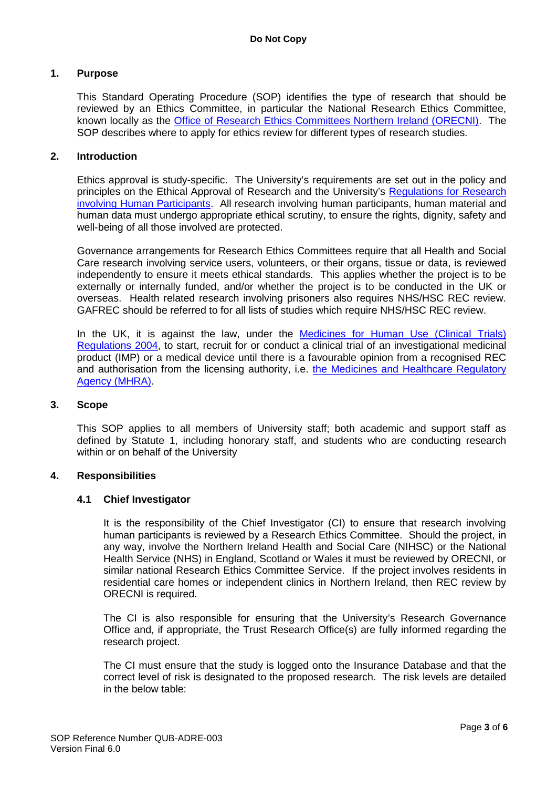## **1. Purpose**

This Standard Operating Procedure (SOP) identifies the type of research that should be reviewed by an Ethics Committee, in particular the National Research Ethics Committee, known locally as the [Office of Research Ethics Committees Northern Ireland \(ORECNI\).](http://www.hscbusiness.hscni.net/orecni.htm) The SOP describes where to apply for ethics review for different types of research studies.

#### **2. Introduction**

Ethics approval is study-specific. The University's requirements are set out in the policy and principles on the Ethical Approval of Research and the University's [Regulations for](http://www.qub.ac.uk/Research/Governance-ethics-and-integrity/Policies-procedures-and-guidelines/) Research [involving Human Participants.](http://www.qub.ac.uk/Research/Governance-ethics-and-integrity/Policies-procedures-and-guidelines/) All research involving human participants, human material and human data must undergo appropriate ethical scrutiny, to ensure the rights, dignity, safety and well-being of all those involved are protected.

Governance arrangements for Research Ethics Committees require that all Health and Social Care research involving service users, volunteers, or their organs, tissue or data, is reviewed independently to ensure it meets ethical standards. This applies whether the project is to be externally or internally funded, and/or whether the project is to be conducted in the UK or overseas. Health related research involving prisoners also requires NHS/HSC REC review. GAFREC should be referred to for all lists of studies which require NHS/HSC REC review.

In the UK, it is against the law, under the [Medicines for Human Use \(Clinical Trials\)](http://www.opsi.gov.uk/si/si2004/20041031.htm)  [Regulations 2004,](http://www.opsi.gov.uk/si/si2004/20041031.htm) to start, recruit for or conduct a clinical trial of an investigational medicinal product (IMP) or a medical device until there is a favourable opinion from a recognised REC and authorisation from the licensing authority, i.e. [the Medicines and Healthcare Regulatory](http://www.mhra.gov.uk/index.htm)  [Agency \(MHRA\).](http://www.mhra.gov.uk/index.htm)

#### **3. Scope**

This SOP applies to all members of University staff; both academic and support staff as defined by Statute 1, including honorary staff, and students who are conducting research within or on behalf of the University

#### **4. Responsibilities**

#### **4.1 Chief Investigator**

It is the responsibility of the Chief Investigator (CI) to ensure that research involving human participants is reviewed by a Research Ethics Committee. Should the project, in any way, involve the Northern Ireland Health and Social Care (NIHSC) or the National Health Service (NHS) in England, Scotland or Wales it must be reviewed by ORECNI, or similar national Research Ethics Committee Service. If the project involves residents in residential care homes or independent clinics in Northern Ireland, then REC review by ORECNI is required.

The CI is also responsible for ensuring that the University's Research Governance Office and, if appropriate, the Trust Research Office(s) are fully informed regarding the research project.

The CI must ensure that the study is logged onto the Insurance Database and that the correct level of risk is designated to the proposed research. The risk levels are detailed in the below table: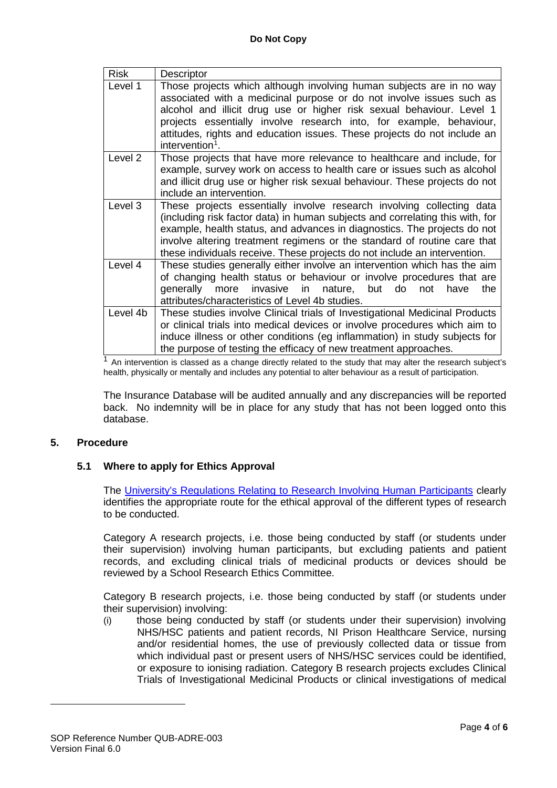| <b>Risk</b> | Descriptor                                                                                                                                                                                                                                                                                                                                                                                              |
|-------------|---------------------------------------------------------------------------------------------------------------------------------------------------------------------------------------------------------------------------------------------------------------------------------------------------------------------------------------------------------------------------------------------------------|
| Level 1     | Those projects which although involving human subjects are in no way<br>associated with a medicinal purpose or do not involve issues such as<br>alcohol and illicit drug use or higher risk sexual behaviour. Level 1<br>projects essentially involve research into, for example, behaviour,<br>attitudes, rights and education issues. These projects do not include an<br>intervention <sup>1</sup> . |
| Level 2     | Those projects that have more relevance to healthcare and include, for<br>example, survey work on access to health care or issues such as alcohol<br>and illicit drug use or higher risk sexual behaviour. These projects do not<br>include an intervention.                                                                                                                                            |
| Level 3     | These projects essentially involve research involving collecting data<br>(including risk factor data) in human subjects and correlating this with, for<br>example, health status, and advances in diagnostics. The projects do not<br>involve altering treatment regimens or the standard of routine care that<br>these individuals receive. These projects do not include an intervention.             |
| Level 4     | These studies generally either involve an intervention which has the aim<br>of changing health status or behaviour or involve procedures that are<br>generally more<br>invasive in nature, but do<br>the<br>not<br>have<br>attributes/characteristics of Level 4b studies.                                                                                                                              |
| Level 4b    | These studies involve Clinical trials of Investigational Medicinal Products<br>or clinical trials into medical devices or involve procedures which aim to<br>induce illness or other conditions (eg inflammation) in study subjects for<br>the purpose of testing the efficacy of new treatment approaches.                                                                                             |

 $1$  An intervention is classed as a change directly related to the study that may alter the research subject's health, physically or mentally and includes any potential to alter behaviour as a result of participation.

The Insurance Database will be audited annually and any discrepancies will be reported back. No indemnity will be in place for any study that has not been logged onto this database.

# **5. Procedure**

<span id="page-3-0"></span><u>.</u>

# **5.1 Where to apply for Ethics Approval**

The [University's Regulations Relating to Research Involving Human Participants](http://www.qub.ac.uk/Research/Governance-ethics-and-integrity/Policies-procedures-and-guidelines/) clearly identifies the appropriate route for the ethical approval of the different types of research to be conducted.

Category A research projects, i.e. those being conducted by staff (or students under their supervision) involving human participants, but excluding patients and patient records, and excluding clinical trials of medicinal products or devices should be reviewed by a School Research Ethics Committee.

Category B research projects, i.e. those being conducted by staff (or students under their supervision) involving:

(i) those being conducted by staff (or students under their supervision) involving NHS/HSC patients and patient records, NI Prison Healthcare Service, nursing and/or residential homes, the use of previously collected data or tissue from which individual past or present users of NHS/HSC services could be identified, or exposure to ionising radiation. Category B research projects excludes Clinical Trials of Investigational Medicinal Products or clinical investigations of medical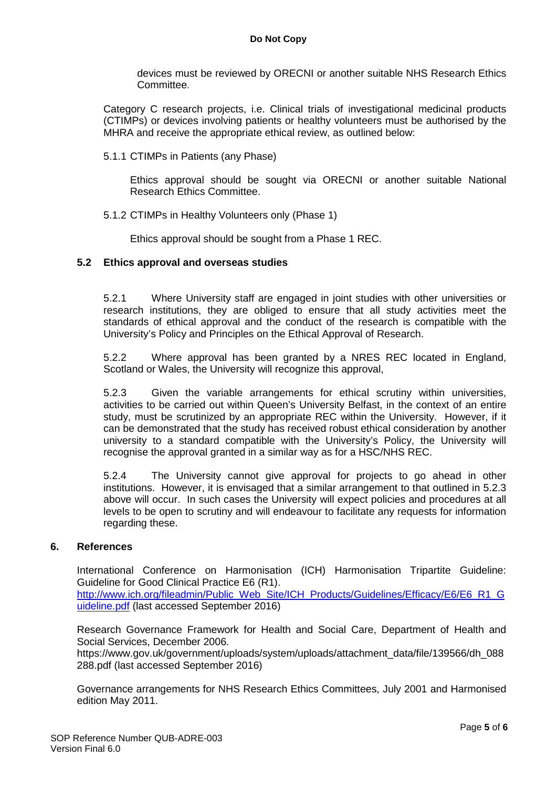devices must be reviewed by ORECNI or another suitable NHS Research Ethics Committee.

Category C research projects, i.e. Clinical trials of investigational medicinal products (CTIMPs) or devices involving patients or healthy volunteers must be authorised by the MHRA and receive the appropriate ethical review, as outlined below:

5.1.1 CTIMPs in Patients (any Phase)

Ethics approval should be sought via ORECNI or another suitable National Research Ethics Committee.

5.1.2 CTIMPs in Healthy Volunteers only (Phase 1)

Ethics approval should be sought from a Phase 1 REC.

## **5.2 Ethics approval and overseas studies**

5.2.1 Where University staff are engaged in joint studies with other universities or research institutions, they are obliged to ensure that all study activities meet the standards of ethical approval and the conduct of the research is compatible with the University's Policy and Principles on the Ethical Approval of Research.

5.2.2 Where approval has been granted by a NRES REC located in England, Scotland or Wales, the University will recognize this approval,

5.2.3 Given the variable arrangements for ethical scrutiny within universities, activities to be carried out within Queen's University Belfast, in the context of an entire study, must be scrutinized by an appropriate REC within the University. However, if it can be demonstrated that the study has received robust ethical consideration by another university to a standard compatible with the University's Policy, the University will recognise the approval granted in a similar way as for a HSC/NHS REC.

5.2.4 The University cannot give approval for projects to go ahead in other institutions. However, it is envisaged that a similar arrangement to that outlined in 5.2.3 above will occur. In such cases the University will expect policies and procedures at all levels to be open to scrutiny and will endeavour to facilitate any requests for information regarding these.

#### **6. References**

International Conference on Harmonisation (ICH) Harmonisation Tripartite Guideline: Guideline for Good Clinical Practice E6 (R1).

[http://www.ich.org/fileadmin/Public\\_Web\\_Site/ICH\\_Products/Guidelines/Efficacy/E6/E6\\_R1\\_G](http://www.ich.org/fileadmin/Public_Web_Site/ICH_Products/Guidelines/Efficacy/E6/E6_R1_Guideline.pdf) [uideline.pdf](http://www.ich.org/fileadmin/Public_Web_Site/ICH_Products/Guidelines/Efficacy/E6/E6_R1_Guideline.pdf) (last accessed September 2016)

Research Governance Framework for Health and Social Care, Department of Health and Social Services, December 2006.

https://www.gov.uk/government/uploads/system/uploads/attachment\_data/file/139566/dh\_088 288.pdf (last accessed September 2016)

Governance arrangements for NHS Research Ethics Committees, July 2001 and Harmonised edition May 2011.